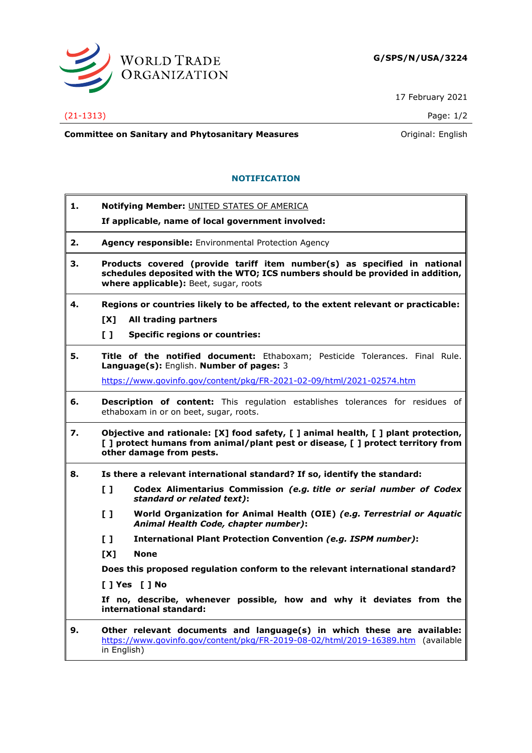

17 February 2021

## (21-1313) Page: 1/2

**Committee on Sanitary and Phytosanitary Measures Committee on Sanitary and Phytosanitary Measures Committee on Sanitary and Phytosanitary Measures** 

## **NOTIFICATION**

| 1. | Notifying Member: UNITED STATES OF AMERICA                                                                                                                                                         |
|----|----------------------------------------------------------------------------------------------------------------------------------------------------------------------------------------------------|
|    | If applicable, name of local government involved:                                                                                                                                                  |
| 2. | <b>Agency responsible:</b> Environmental Protection Agency                                                                                                                                         |
| З. | Products covered (provide tariff item number(s) as specified in national<br>schedules deposited with the WTO; ICS numbers should be provided in addition,<br>where applicable): Beet, sugar, roots |
| 4. | Regions or countries likely to be affected, to the extent relevant or practicable:                                                                                                                 |
|    | [X]<br>All trading partners                                                                                                                                                                        |
|    | $\mathbf{L}$<br><b>Specific regions or countries:</b>                                                                                                                                              |
| 5. | Title of the notified document: Ethaboxam; Pesticide Tolerances. Final Rule.<br>Language(s): English. Number of pages: 3                                                                           |
|    | https://www.govinfo.gov/content/pkg/FR-2021-02-09/html/2021-02574.htm                                                                                                                              |
| 6. | <b>Description of content:</b> This regulation establishes tolerances for residues of<br>ethaboxam in or on beet, sugar, roots.                                                                    |
| 7. | Objective and rationale: [X] food safety, [ ] animal health, [ ] plant protection,<br>[ ] protect humans from animal/plant pest or disease, [ ] protect territory from<br>other damage from pests. |
| 8. | Is there a relevant international standard? If so, identify the standard:                                                                                                                          |
|    | Codex Alimentarius Commission (e.g. title or serial number of Codex<br>$\mathbf{L}$<br>standard or related text):                                                                                  |
|    | World Organization for Animal Health (OIE) (e.g. Terrestrial or Aquatic<br>$\mathbf{L}$<br>Animal Health Code, chapter number):                                                                    |
|    | $\mathbf{L}$<br><b>International Plant Protection Convention (e.g. ISPM number):</b>                                                                                                               |
|    | [X]<br><b>None</b>                                                                                                                                                                                 |
|    | Does this proposed regulation conform to the relevant international standard?                                                                                                                      |
|    | [ ] Yes [ ] No                                                                                                                                                                                     |
|    | If no, describe, whenever possible, how and why it deviates from the<br>international standard:                                                                                                    |
| 9. | Other relevant documents and language(s) in which these are available:<br>https://www.govinfo.gov/content/pkg/FR-2019-08-02/html/2019-16389.htm (available                                         |